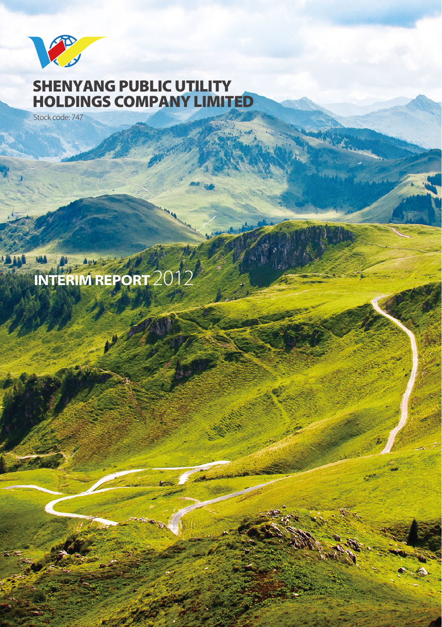

# **SHENYANG PUBLIC UTILITY HOLDINGS COMPANY LIMITED**

Stock code: 747

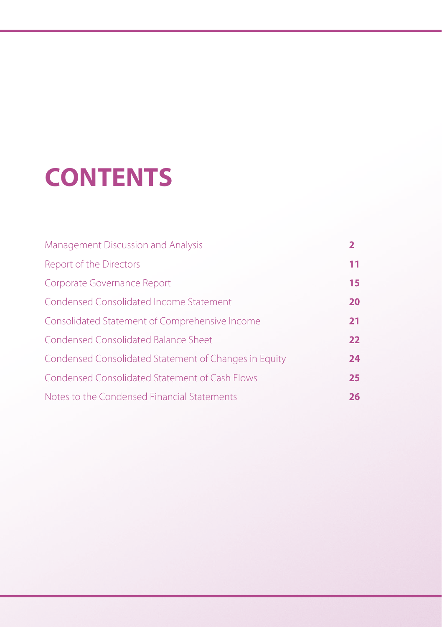# **CONTENTS**

| Management Discussion and Analysis                    |    |
|-------------------------------------------------------|----|
| Report of the Directors                               | 11 |
| Corporate Governance Report                           | 15 |
| Condensed Consolidated Income Statement               | 20 |
| Consolidated Statement of Comprehensive Income        | 21 |
| Condensed Consolidated Balance Sheet                  | 22 |
| Condensed Consolidated Statement of Changes in Equity | 24 |
| Condensed Consolidated Statement of Cash Flows        | 25 |
| Notes to the Condensed Financial Statements           | 26 |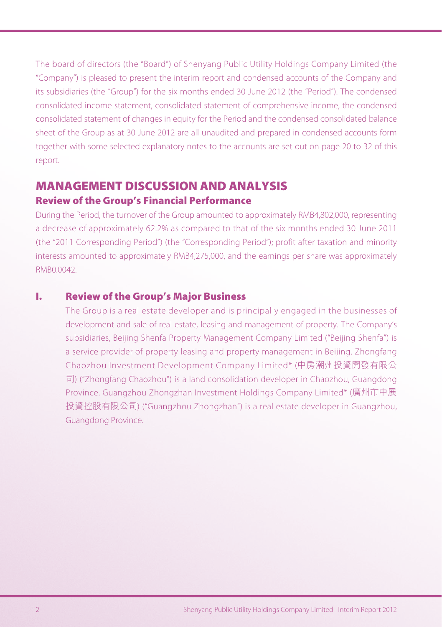The board of directors (the "Board") of Shenyang Public Utility Holdings Company Limited (the "Company") is pleased to present the interim report and condensed accounts of the Company and its subsidiaries (the "Group") for the six months ended 30 June 2012 (the "Period"). The condensed consolidated income statement, consolidated statement of comprehensive income, the condensed consolidated statement of changes in equity for the Period and the condensed consolidated balance sheet of the Group as at 30 June 2012 are all unaudited and prepared in condensed accounts form together with some selected explanatory notes to the accounts are set out on page 20 to 32 of this report.

# **MANAGEMENT DISCUSSION AND ANALYSIS**

# **Review of the Group's Financial Performance**

During the Period, the turnover of the Group amounted to approximately RMB4,802,000, representing a decrease of approximately 62.2% as compared to that of the six months ended 30 June 2011 (the "2011 Corresponding Period") (the "Corresponding Period"); profit after taxation and minority interests amounted to approximately RMB4,275,000, and the earnings per share was approximately RMB0.0042.

# **I. Review of the Group's Major Business**

The Group is a real estate developer and is principally engaged in the businesses of development and sale of real estate, leasing and management of property. The Company's subsidiaries, Beijing Shenfa Property Management Company Limited ("Beijing Shenfa") is a service provider of property leasing and property management in Beijing. Zhongfang Chaozhou Investment Development Company Limited\* (中房潮州投資開發有限公 司) ("Zhongfang Chaozhou") is a land consolidation developer in Chaozhou, Guangdong Province. Guangzhou Zhongzhan Investment Holdings Company Limited\* (廣州市中展 投資控股有限公司) ("Guangzhou Zhongzhan") is a real estate developer in Guangzhou, Guangdong Province.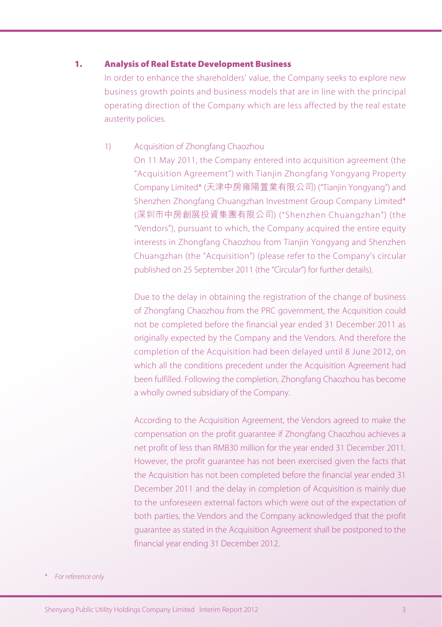## **1. Analysis of Real Estate Development Business**

In order to enhance the shareholders' value, the Company seeks to explore new business growth points and business models that are in line with the principal operating direction of the Company which are less affected by the real estate austerity policies.

#### 1) Acquisition of Zhongfang Chaozhou

On 11 May 2011, the Company entered into acquisition agreement (the "Acquisition Agreement") with Tianjin Zhongfang Yongyang Property Company Limited\* (天津中房雍陽置業有限公司) ("Tianjin Yongyang") and Shenzhen Zhongfang Chuangzhan Investment Group Company Limited\* (深圳市中房創展投資集團有限公司) ("Shenzhen Chuangzhan") (the "Vendors"), pursuant to which, the Company acquired the entire equity interests in Zhongfang Chaozhou from Tianjin Yongyang and Shenzhen Chuangzhan (the "Acquisition") (please refer to the Company's circular published on 25 September 2011 (the "Circular") for further details).

Due to the delay in obtaining the registration of the change of business of Zhongfang Chaozhou from the PRC government, the Acquisition could not be completed before the financial year ended 31 December 2011 as originally expected by the Company and the Vendors. And therefore the completion of the Acquisition had been delayed until 8 June 2012, on which all the conditions precedent under the Acquisition Agreement had been fulfilled. Following the completion, Zhongfang Chaozhou has become a wholly owned subsidiary of the Company.

According to the Acquisition Agreement, the Vendors agreed to make the compensation on the profit guarantee if Zhongfang Chaozhou achieves a net profit of less than RMB30 million for the year ended 31 December 2011. However, the profit guarantee has not been exercised given the facts that the Acquisition has not been completed before the financial year ended 31 December 2011 and the delay in completion of Acquisition is mainly due to the unforeseen external factors which were out of the expectation of both parties, the Vendors and the Company acknowledged that the profit guarantee as stated in the Acquisition Agreement shall be postponed to the financial year ending 31 December 2012.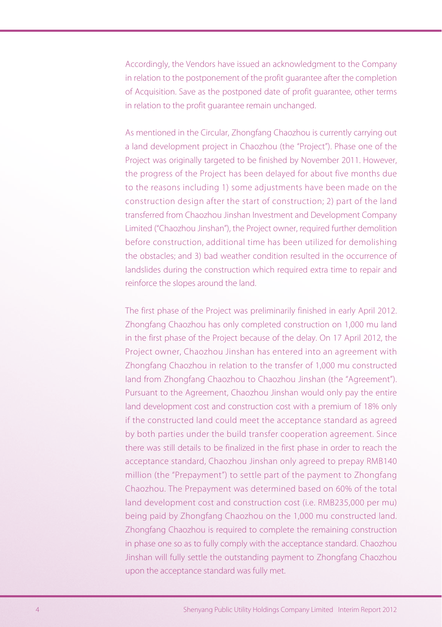Accordingly, the Vendors have issued an acknowledgment to the Company in relation to the postponement of the profit guarantee after the completion of Acquisition. Save as the postponed date of profit guarantee, other terms in relation to the profit guarantee remain unchanged.

As mentioned in the Circular, Zhongfang Chaozhou is currently carrying out a land development project in Chaozhou (the "Project"). Phase one of the Project was originally targeted to be finished by November 2011. However, the progress of the Project has been delayed for about five months due to the reasons including 1) some adjustments have been made on the construction design after the start of construction; 2) part of the land transferred from Chaozhou Jinshan Investment and Development Company Limited ("Chaozhou Jinshan"), the Project owner, required further demolition before construction, additional time has been utilized for demolishing the obstacles; and 3) bad weather condition resulted in the occurrence of landslides during the construction which required extra time to repair and reinforce the slopes around the land.

The first phase of the Project was preliminarily finished in early April 2012. Zhongfang Chaozhou has only completed construction on 1,000 mu land in the first phase of the Project because of the delay. On 17 April 2012, the Project owner, Chaozhou Jinshan has entered into an agreement with Zhongfang Chaozhou in relation to the transfer of 1,000 mu constructed land from Zhongfang Chaozhou to Chaozhou Jinshan (the "Agreement"). Pursuant to the Agreement, Chaozhou Jinshan would only pay the entire land development cost and construction cost with a premium of 18% only if the constructed land could meet the acceptance standard as agreed by both parties under the build transfer cooperation agreement. Since there was still details to be finalized in the first phase in order to reach the acceptance standard, Chaozhou Jinshan only agreed to prepay RMB140 million (the "Prepayment") to settle part of the payment to Zhongfang Chaozhou. The Prepayment was determined based on 60% of the total land development cost and construction cost (i.e. RMB235,000 per mu) being paid by Zhongfang Chaozhou on the 1,000 mu constructed land. Zhongfang Chaozhou is required to complete the remaining construction in phase one so as to fully comply with the acceptance standard. Chaozhou Jinshan will fully settle the outstanding payment to Zhongfang Chaozhou upon the acceptance standard was fully met.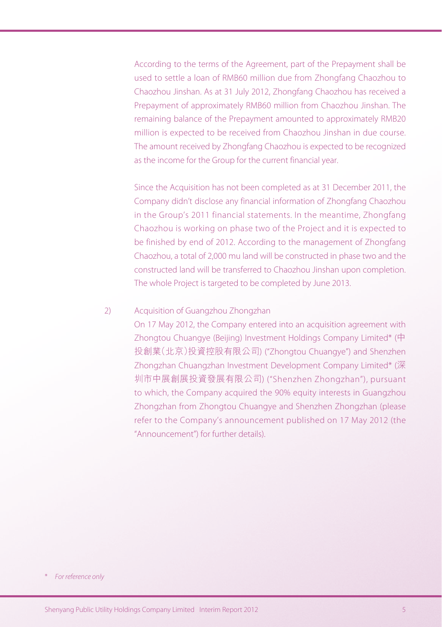According to the terms of the Agreement, part of the Prepayment shall be used to settle a loan of RMB60 million due from Zhongfang Chaozhou to Chaozhou Jinshan. As at 31 July 2012, Zhongfang Chaozhou has received a Prepayment of approximately RMB60 million from Chaozhou Jinshan. The remaining balance of the Prepayment amounted to approximately RMB20 million is expected to be received from Chaozhou Jinshan in due course. The amount received by Zhongfang Chaozhou is expected to be recognized as the income for the Group for the current financial year.

Since the Acquisition has not been completed as at 31 December 2011, the Company didn't disclose any financial information of Zhongfang Chaozhou in the Group's 2011 financial statements. In the meantime, Zhongfang Chaozhou is working on phase two of the Project and it is expected to be finished by end of 2012. According to the management of Zhongfang Chaozhou, a total of 2,000 mu land will be constructed in phase two and the constructed land will be transferred to Chaozhou Jinshan upon completion. The whole Project is targeted to be completed by June 2013.

# 2) Acquisition of Guangzhou Zhongzhan

On 17 May 2012, the Company entered into an acquisition agreement with Zhongtou Chuangye (Beijing) Investment Holdings Company Limited\* (中 投創業(北京)投資控股有限公司) ("Zhongtou Chuangye") and Shenzhen Zhongzhan Chuangzhan Investment Development Company Limited\* (深 圳市中展創展投資發展有限公司) ("Shenzhen Zhongzhan"), pursuant to which, the Company acquired the 90% equity interests in Guangzhou Zhongzhan from Zhongtou Chuangye and Shenzhen Zhongzhan (please refer to the Company's announcement published on 17 May 2012 (the "Announcement") for further details).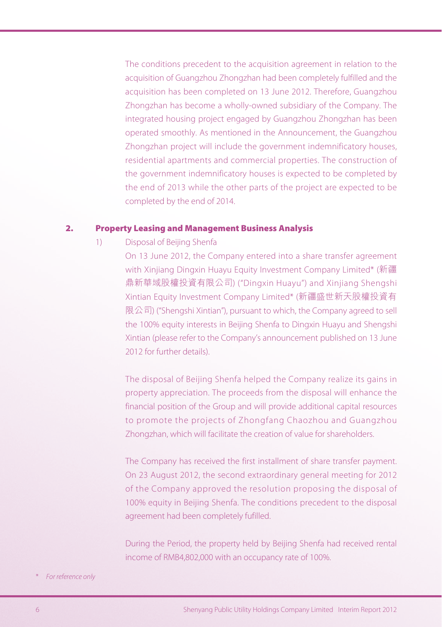The conditions precedent to the acquisition agreement in relation to the acquisition of Guangzhou Zhongzhan had been completely fulfilled and the acquisition has been completed on 13 June 2012. Therefore, Guangzhou Zhongzhan has become a wholly-owned subsidiary of the Company. The integrated housing project engaged by Guangzhou Zhongzhan has been operated smoothly. As mentioned in the Announcement, the Guangzhou Zhongzhan project will include the government indemnificatory houses, residential apartments and commercial properties. The construction of the government indemnificatory houses is expected to be completed by the end of 2013 while the other parts of the project are expected to be completed by the end of 2014.

#### **2. Property Leasing and Management Business Analysis**

1) Disposal of Beijing Shenfa

On 13 June 2012, the Company entered into a share transfer agreement with Xinjiang Dingxin Huayu Equity Investment Company Limited\* (新疆 鼎新華域股權投資有限公司) ("Dingxin Huayu") and Xinjiang Shengshi Xintian Equity Investment Company Limited\* (新疆盛世新天股權投資有 限公司) ("Shengshi Xintian"), pursuant to which, the Company agreed to sell the 100% equity interests in Beijing Shenfa to Dingxin Huayu and Shengshi Xintian (please refer to the Company's announcement published on 13 June 2012 for further details).

The disposal of Beijing Shenfa helped the Company realize its gains in property appreciation. The proceeds from the disposal will enhance the financial position of the Group and will provide additional capital resources to promote the projects of Zhongfang Chaozhou and Guangzhou Zhongzhan, which will facilitate the creation of value for shareholders.

The Company has received the first installment of share transfer payment. On 23 August 2012, the second extraordinary general meeting for 2012 of the Company approved the resolution proposing the disposal of 100% equity in Beijing Shenfa. The conditions precedent to the disposal agreement had been completely fufilled.

During the Period, the property held by Beijing Shenfa had received rental income of RMB4,802,000 with an occupancy rate of 100%.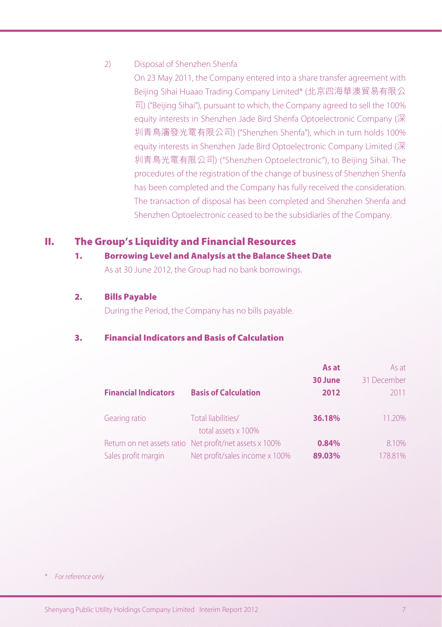## 2) Disposal of Shenzhen Shenfa

On 23 May 2011, the Company entered into a share transfer agreement with Beijing Sihai Huaao Trading Company Limited\* (北京四海華澳貿易有限公 司) ("Beijing Sihai"), pursuant to which, the Company agreed to sell the 100% equity interests in Shenzhen Jade Bird Shenfa Optoelectronic Company (深 圳青鳥瀋發光電有限公司) ("Shenzhen Shenfa"), which in turn holds 100% equity interests in Shenzhen Jade Bird Optoelectronic Company Limited (深 圳青鳥光電有限公司) ("Shenzhen Optoelectronic"), to Beijing Sihai. The procedures of the registration of the change of business of Shenzhen Shenfa has been completed and the Company has fully received the consideration. The transaction of disposal has been completed and Shenzhen Shenfa and Shenzhen Optoelectronic ceased to be the subsidiaries of the Company.

# **II. The Group's Liquidity and Financial Resources**

#### **1. Borrowing Level and Analysis at the Balance Sheet Date**

As at 30 June 2012, the Group had no bank borrowings.

#### **2. Bills Payable**

During the Period, the Company has no bills payable.

# **3. Financial Indicators and Basis of Calculation**

| <b>Financial Indicators</b> | <b>Basis of Calculation</b>                             | As at<br>30 June<br>2012 | As at<br>31 December<br>2011 |
|-----------------------------|---------------------------------------------------------|--------------------------|------------------------------|
| Gearing ratio               | Total liabilities/<br>total assets x 100%               | 36.18%                   | 11.20%                       |
|                             | Return on net assets ratio Net profit/net assets x 100% | 0.84%                    | 8.10%                        |
| Sales profit margin         | Net profit/sales income x 100%                          | 89.03%                   | 178.81%                      |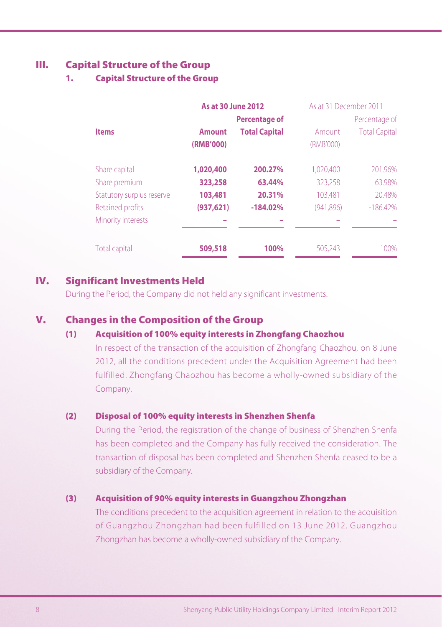# **III. Capital Structure of the Group**

# **1. Capital Structure of the Group**

|                           | <b>As at 30 June 2012</b>  |                      | As at 31 December 2011 |                      |
|---------------------------|----------------------------|----------------------|------------------------|----------------------|
|                           |                            | <b>Percentage of</b> |                        | Percentage of        |
| <b>Items</b>              | <b>Amount</b><br>(RMB'000) | <b>Total Capital</b> | Amount<br>(RMB'000)    | <b>Total Capital</b> |
| Share capital             | 1,020,400                  | 200.27%              | 1,020,400              | 201.96%              |
| Share premium             | 323,258                    | 63.44%               | 323,258                | 63.98%               |
| Statutory surplus reserve | 103,481                    | 20.31%               | 103.481                | 20.48%               |
| Retained profits          | (937, 621)                 | $-184.02%$           | (941, 896)             | $-186.42%$           |
| Minority interests        |                            |                      |                        |                      |
| Total capital             | 509,518                    | 100%                 | 505.243                | 100%                 |

# **IV. Significant Investments Held**

During the Period, the Company did not held any significant investments.

# **V. Changes in the Composition of the Group**

#### **(1) Acquisition of 100% equity interests in Zhongfang Chaozhou**

In respect of the transaction of the acquisition of Zhongfang Chaozhou, on 8 June 2012, all the conditions precedent under the Acquisition Agreement had been fulfilled. Zhongfang Chaozhou has become a wholly-owned subsidiary of the Company.

#### **(2) Disposal of 100% equity interests in Shenzhen Shenfa**

During the Period, the registration of the change of business of Shenzhen Shenfa has been completed and the Company has fully received the consideration. The transaction of disposal has been completed and Shenzhen Shenfa ceased to be a subsidiary of the Company.

# **(3) Acquisition of 90% equity interests in Guangzhou Zhongzhan**

The conditions precedent to the acquisition agreement in relation to the acquisition of Guangzhou Zhongzhan had been fulfilled on 13 June 2012. Guangzhou Zhongzhan has become a wholly-owned subsidiary of the Company.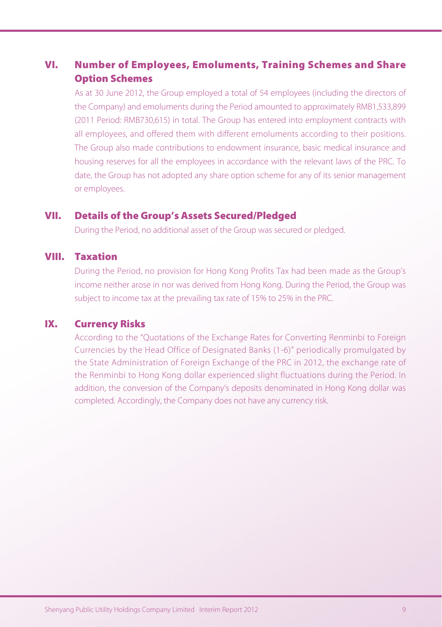# **VI. Number of Employees, Emoluments, Training Schemes and Share Option Schemes**

As at 30 June 2012, the Group employed a total of 54 employees (including the directors of the Company) and emoluments during the Period amounted to approximately RMB1,533,899 (2011 Period: RMB730,615) in total. The Group has entered into employment contracts with all employees, and offered them with different emoluments according to their positions. The Group also made contributions to endowment insurance, basic medical insurance and housing reserves for all the employees in accordance with the relevant laws of the PRC. To date, the Group has not adopted any share option scheme for any of its senior management or employees.

# **VII. Details of the Group's Assets Secured/Pledged**

During the Period, no additional asset of the Group was secured or pledged.

# **VIII. Taxation**

During the Period, no provision for Hong Kong Profits Tax had been made as the Group's income neither arose in nor was derived from Hong Kong. During the Period, the Group was subject to income tax at the prevailing tax rate of 15% to 25% in the PRC.

# **IX. Currency Risks**

According to the "Quotations of the Exchange Rates for Converting Renminbi to Foreign Currencies by the Head Office of Designated Banks (1-6)" periodically promulgated by the State Administration of Foreign Exchange of the PRC in 2012, the exchange rate of the Renminbi to Hong Kong dollar experienced slight fluctuations during the Period. In addition, the conversion of the Company's deposits denominated in Hong Kong dollar was completed. Accordingly, the Company does not have any currency risk.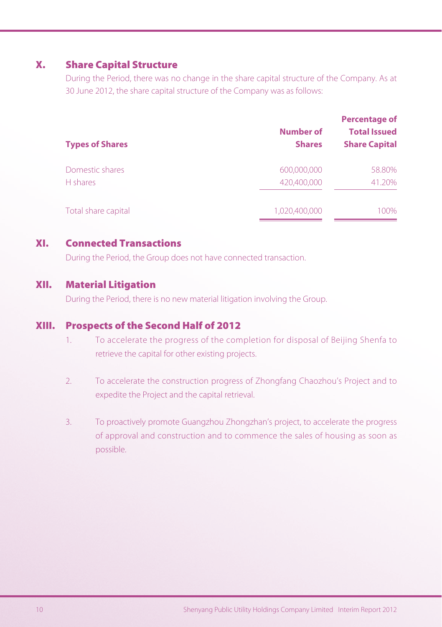# **X. Share Capital Structure**

During the Period, there was no change in the share capital structure of the Company. As at 30 June 2012, the share capital structure of the Company was as follows:

| <b>Types of Shares</b> | Number of<br><b>Shares</b> | Percentage of<br><b>Total Issued</b><br><b>Share Capital</b> |
|------------------------|----------------------------|--------------------------------------------------------------|
| Domestic shares        | 600,000,000                | 58.80%                                                       |
| H shares               | 420.400.000                | 41.20%                                                       |
| Total share capital    | 1.020.400.000              | 100%                                                         |

# **XI. Connected Transactions**

During the Period, the Group does not have connected transaction.

# **XII. Material Litigation**

During the Period, there is no new material litigation involving the Group.

# **XIII. Prospects of the Second Half of 2012**

- 1. To accelerate the progress of the completion for disposal of Beijing Shenfa to retrieve the capital for other existing projects.
- 2. To accelerate the construction progress of Zhongfang Chaozhou's Project and to expedite the Project and the capital retrieval.
- 3. To proactively promote Guangzhou Zhongzhan's project, to accelerate the progress of approval and construction and to commence the sales of housing as soon as possible.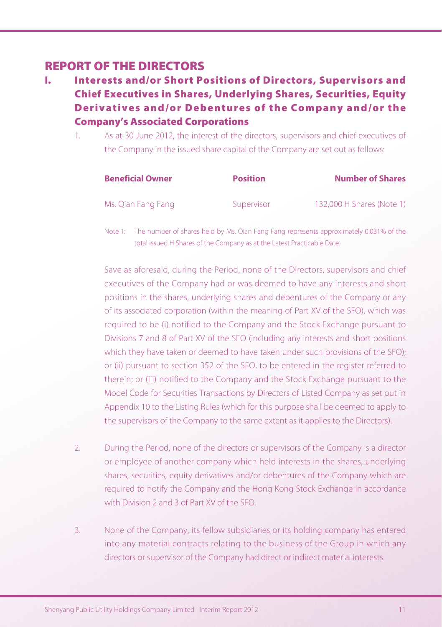# **REPORT OF THE DIRECTORS**

- **I. Interests and/or Short Positions of Directors, Supervisors and Chief Executives in Shares, Underlying Shares, Securities, Equity Derivatives and/or Debentures of the Company and/or the Company's Associated Corporations**
	- 1. As at 30 June 2012, the interest of the directors, supervisors and chief executives of the Company in the issued share capital of the Company are set out as follows:

| <b>Beneficial Owner</b> | <b>Position</b> | <b>Number of Shares</b>   |
|-------------------------|-----------------|---------------------------|
| Ms. Qian Fang Fang      | Supervisor      | 132,000 H Shares (Note 1) |

Note 1: The number of shares held by Ms. Qian Fang Fang represents approximately 0.031% of the total issued H Shares of the Company as at the Latest Practicable Date.

Save as aforesaid, during the Period, none of the Directors, supervisors and chief executives of the Company had or was deemed to have any interests and short positions in the shares, underlying shares and debentures of the Company or any of its associated corporation (within the meaning of Part XV of the SFO), which was required to be (i) notified to the Company and the Stock Exchange pursuant to Divisions 7 and 8 of Part XV of the SFO (including any interests and short positions which they have taken or deemed to have taken under such provisions of the SFO); or (ii) pursuant to section 352 of the SFO, to be entered in the register referred to therein; or (iii) notified to the Company and the Stock Exchange pursuant to the Model Code for Securities Transactions by Directors of Listed Company as set out in Appendix 10 to the Listing Rules (which for this purpose shall be deemed to apply to the supervisors of the Company to the same extent as it applies to the Directors).

- 2. During the Period, none of the directors or supervisors of the Company is a director or employee of another company which held interests in the shares, underlying shares, securities, equity derivatives and/or debentures of the Company which are required to notify the Company and the Hong Kong Stock Exchange in accordance with Division 2 and 3 of Part XV of the SFO.
- 3. None of the Company, its fellow subsidiaries or its holding company has entered into any material contracts relating to the business of the Group in which any directors or supervisor of the Company had direct or indirect material interests.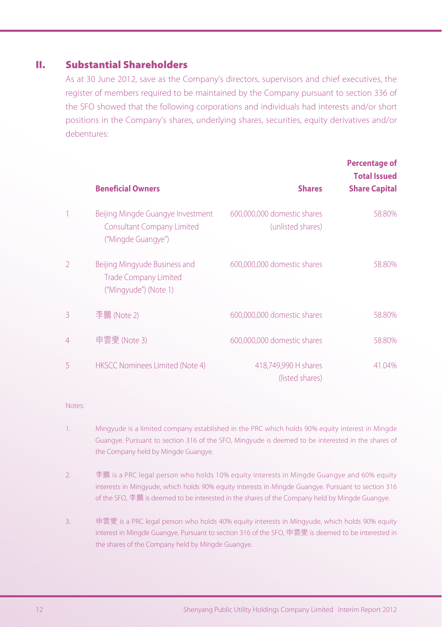# **II. Substantial Shareholders**

As at 30 June 2012, save as the Company's directors, supervisors and chief executives, the register of members required to be maintained by the Company pursuant to section 336 of the SFO showed that the following corporations and individuals had interests and/or short positions in the Company's shares, underlying shares, securities, equity derivatives and/or debentures:

|                | <b>Beneficial Owners</b>                                                                     | <b>Shares</b>                                    | <b>Percentage of</b><br><b>Total Issued</b><br><b>Share Capital</b> |
|----------------|----------------------------------------------------------------------------------------------|--------------------------------------------------|---------------------------------------------------------------------|
|                | Beijing Mingde Guangye Investment<br><b>Consultant Company Limited</b><br>("Mingde Guangye") | 600,000,000 domestic shares<br>(unlisted shares) | 58.80%                                                              |
| $\mathfrak{D}$ | Beijing Mingyude Business and<br><b>Trade Company Limited</b><br>("Mingyude") (Note 1)       | 600,000,000 domestic shares                      | 58.80%                                                              |
| 3              | 李鵬 (Note 2)                                                                                  | 600,000,000 domestic shares                      | 58.80%                                                              |
| 4              | 申雲燮 (Note 3)                                                                                 | 600,000,000 domestic shares                      | 58.80%                                                              |
| 5              | <b>HKSCC Nominees Limited (Note 4)</b>                                                       | 418,749,990 H shares<br>(listed shares)          | 41.04%                                                              |

#### Notes:

- 1. Mingyude is a limited company established in the PRC which holds 90% equity interest in Mingde Guangye. Pursuant to section 316 of the SFO, Mingyude is deemed to be interested in the shares of the Company held by Mingde Guangye.
- 2. 李鵬 is a PRC legal person who holds 10% equity interests in Mingde Guangye and 60% equity interests in Mingyude, which holds 90% equity interests in Mingde Guangye. Pursuant to section 316 of the SFO, 李鵬 is deemed to be interested in the shares of the Company held by Mingde Guangye.
- 3. 申雲燮 is a PRC legal person who holds 40% equity interests in Mingyude, which holds 90% equity interest in Mingde Guangye. Pursuant to section 316 of the SFO, 申雲燮 is deemed to be interested in the shares of the Company held by Mingde Guangye.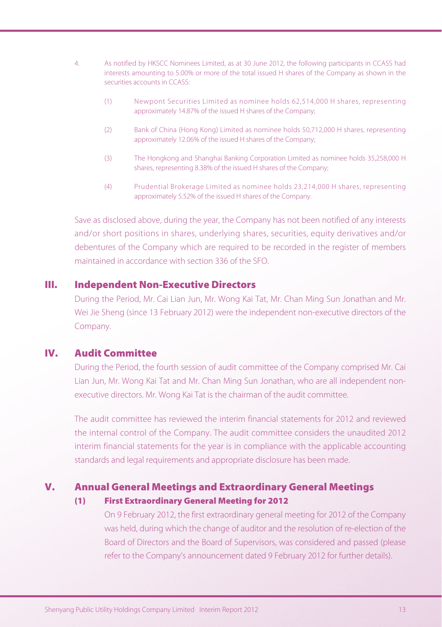- 4. As notified by HKSCC Nominees Limited, as at 30 June 2012, the following participants in CCASS had interests amounting to 5.00% or more of the total issued H shares of the Company as shown in the securities accounts in CCASS:
	- (1) Newpont Securities Limited as nominee holds 62,514,000 H shares, representing approximately 14.87% of the issued H shares of the Company;
	- (2) Bank of China (Hong Kong) Limited as nominee holds 50,712,000 H shares, representing approximately 12.06% of the issued H shares of the Company;
	- (3) The Hongkong and Shanghai Banking Corporation Limited as nominee holds 35,258,000 H shares, representing 8.38% of the issued H shares of the Company;
	- (4) Prudential Brokerage Limited as nominee holds 23,214,000 H shares, representing approximately 5.52% of the issued H shares of the Company.

Save as disclosed above, during the year, the Company has not been notified of any interests and/or short positions in shares, underlying shares, securities, equity derivatives and/or debentures of the Company which are required to be recorded in the register of members maintained in accordance with section 336 of the SFO.

## **III. Independent Non-Executive Directors**

During the Period, Mr. Cai Lian Jun, Mr. Wong Kai Tat, Mr. Chan Ming Sun Jonathan and Mr. Wei Jie Sheng (since 13 February 2012) were the independent non-executive directors of the Company.

# **IV. Audit Committee**

During the Period, the fourth session of audit committee of the Company comprised Mr. Cai Lian Jun, Mr. Wong Kai Tat and Mr. Chan Ming Sun Jonathan, who are all independent nonexecutive directors. Mr. Wong Kai Tat is the chairman of the audit committee.

The audit committee has reviewed the interim financial statements for 2012 and reviewed the internal control of the Company. The audit committee considers the unaudited 2012 interim financial statements for the year is in compliance with the applicable accounting standards and legal requirements and appropriate disclosure has been made.

#### **V. Annual General Meetings and Extraordinary General Meetings**

#### **(1) First Extraordinary General Meeting for 2012**

On 9 February 2012, the first extraordinary general meeting for 2012 of the Company was held, during which the change of auditor and the resolution of re-election of the Board of Directors and the Board of Supervisors, was considered and passed (please refer to the Company's announcement dated 9 February 2012 for further details).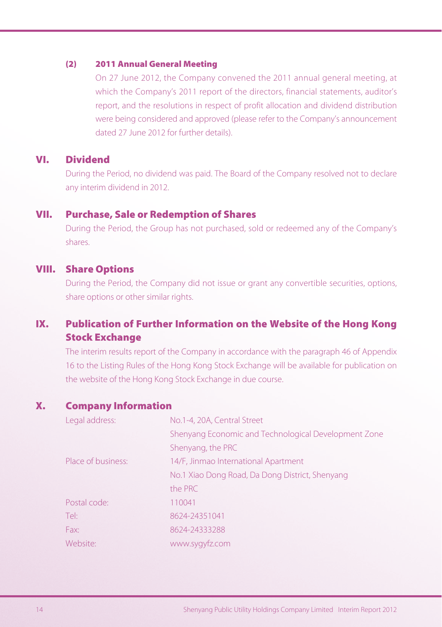## **(2) 2011 Annual General Meeting**

On 27 June 2012, the Company convened the 2011 annual general meeting, at which the Company's 2011 report of the directors, financial statements, auditor's report, and the resolutions in respect of profit allocation and dividend distribution were being considered and approved (please refer to the Company's announcement dated 27 June 2012 for further details).

# **VI. Dividend**

During the Period, no dividend was paid. The Board of the Company resolved not to declare any interim dividend in 2012.

## **VII. Purchase, Sale or Redemption of Shares**

During the Period, the Group has not purchased, sold or redeemed any of the Company's shares.

# **VIII. Share Options**

During the Period, the Company did not issue or grant any convertible securities, options, share options or other similar rights.

# **IX. Publication of Further Information on the Website of the Hong Kong Stock Exchange**

The interim results report of the Company in accordance with the paragraph 46 of Appendix 16 to the Listing Rules of the Hong Kong Stock Exchange will be available for publication on the website of the Hong Kong Stock Exchange in due course.

# **X. Company Information**

| Legal address:     | No.1-4, 20A, Central Street                          |
|--------------------|------------------------------------------------------|
|                    | Shenyang Economic and Technological Development Zone |
|                    | Shenyang, the PRC                                    |
| Place of business: | 14/F, Jinmao International Apartment                 |
|                    | No.1 Xiao Dong Road, Da Dong District, Shenyang      |
|                    | the PRC                                              |
| Postal code:       | 110041                                               |
| Tel:               | 8624-24351041                                        |
| Fax:               | 8624-24333288                                        |
| Website:           | www.sygyfz.com                                       |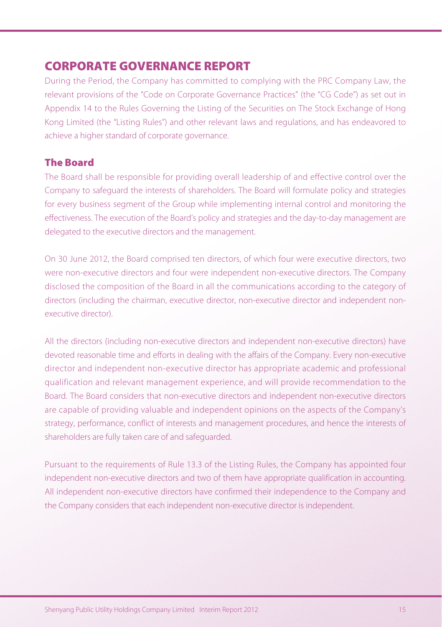# **CORPORATE GOVERNANCE REPORT**

During the Period, the Company has committed to complying with the PRC Company Law, the relevant provisions of the "Code on Corporate Governance Practices" (the "CG Code") as set out in Appendix 14 to the Rules Governing the Listing of the Securities on The Stock Exchange of Hong Kong Limited (the "Listing Rules") and other relevant laws and regulations, and has endeavored to achieve a higher standard of corporate governance.

# **The Board**

The Board shall be responsible for providing overall leadership of and effective control over the Company to safeguard the interests of shareholders. The Board will formulate policy and strategies for every business segment of the Group while implementing internal control and monitoring the effectiveness. The execution of the Board's policy and strategies and the day-to-day management are delegated to the executive directors and the management.

On 30 June 2012, the Board comprised ten directors, of which four were executive directors, two were non-executive directors and four were independent non-executive directors. The Company disclosed the composition of the Board in all the communications according to the category of directors (including the chairman, executive director, non-executive director and independent nonexecutive director).

All the directors (including non-executive directors and independent non-executive directors) have devoted reasonable time and efforts in dealing with the affairs of the Company. Every non-executive director and independent non-executive director has appropriate academic and professional qualification and relevant management experience, and will provide recommendation to the Board. The Board considers that non-executive directors and independent non-executive directors are capable of providing valuable and independent opinions on the aspects of the Company's strategy, performance, conflict of interests and management procedures, and hence the interests of shareholders are fully taken care of and safeguarded.

Pursuant to the requirements of Rule 13.3 of the Listing Rules, the Company has appointed four independent non-executive directors and two of them have appropriate qualification in accounting. All independent non-executive directors have confirmed their independence to the Company and the Company considers that each independent non-executive director is independent.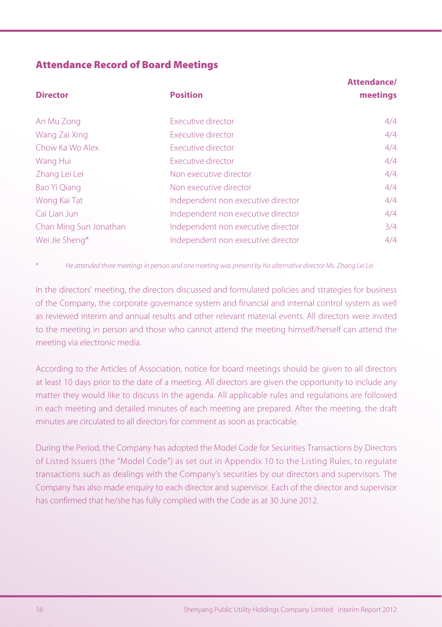# **Attendance Record of Board Meetings**

| <b>Director</b>        | <b>Position</b>                    | Attendance/<br>meetings |
|------------------------|------------------------------------|-------------------------|
|                        |                                    |                         |
| An Mu Zong             | Executive director                 | 4/4                     |
| Wang Zai Xing          | Executive director                 | 4/4                     |
| Chow Ka Wo Alex        | Executive director                 | 4/4                     |
| Wang Hui               | Executive director                 | 4/4                     |
| Zhang Lei Lei          | Non executive director             | 4/4                     |
| Bao Yi Qiang           | Non executive director             | 4/4                     |
| Wong Kai Tat           | Independent non executive director | 4/4                     |
| Caillian Jun           | Independent non executive director | 4/4                     |
| Chan Ming Sun Jonathan | Independent non executive director | 3/4                     |
| Wei Jie Sheng*         | Independent non executive director | 4/4                     |

\* He attended three meetings in person and one meeting was present by his alternative director Ms. Zhang Lei Lei

In the directors' meeting, the directors discussed and formulated policies and strategies for business of the Company, the corporate governance system and financial and internal control system as well as reviewed interim and annual results and other relevant material events. All directors were invited to the meeting in person and those who cannot attend the meeting himself/herself can attend the meeting via electronic media.

According to the Articles of Association, notice for board meetings should be given to all directors at least 10 days prior to the date of a meeting. All directors are given the opportunity to include any matter they would like to discuss in the agenda. All applicable rules and regulations are followed in each meeting and detailed minutes of each meeting are prepared. After the meeting, the draft minutes are circulated to all directors for comment as soon as practicable.

During the Period, the Company has adopted the Model Code for Securities Transactions by Directors of Listed Issuers (the "Model Code") as set out in Appendix 10 to the Listing Rules, to regulate transactions such as dealings with the Company's securities by our directors and supervisors. The Company has also made enquiry to each director and supervisor. Each of the director and supervisor has confirmed that he/she has fully complied with the Code as at 30 June 2012.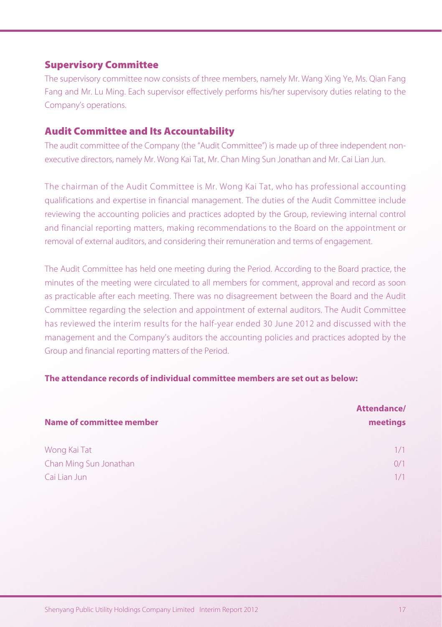# **Supervisory Committee**

The supervisory committee now consists of three members, namely Mr. Wang Xing Ye, Ms. Qian Fang Fang and Mr. Lu Ming. Each supervisor effectively performs his/her supervisory duties relating to the Company's operations.

# **Audit Committee and Its Accountability**

The audit committee of the Company (the "Audit Committee") is made up of three independent nonexecutive directors, namely Mr. Wong Kai Tat, Mr. Chan Ming Sun Jonathan and Mr. Cai Lian Jun.

The chairman of the Audit Committee is Mr. Wong Kai Tat, who has professional accounting qualifications and expertise in financial management. The duties of the Audit Committee include reviewing the accounting policies and practices adopted by the Group, reviewing internal control and financial reporting matters, making recommendations to the Board on the appointment or removal of external auditors, and considering their remuneration and terms of engagement.

The Audit Committee has held one meeting during the Period. According to the Board practice, the minutes of the meeting were circulated to all members for comment, approval and record as soon as practicable after each meeting. There was no disagreement between the Board and the Audit Committee regarding the selection and appointment of external auditors. The Audit Committee has reviewed the interim results for the half-year ended 30 June 2012 and discussed with the management and the Company's auditors the accounting policies and practices adopted by the Group and financial reporting matters of the Period.

## **The attendance records of individual committee members are set out as below:**

| <b>Name of committee member</b> | Attendance/<br>meetings |
|---------------------------------|-------------------------|
| Wong Kai Tat                    | 1/1                     |
| Chan Ming Sun Jonathan          | 0/1                     |
| Cai Lian Jun                    |                         |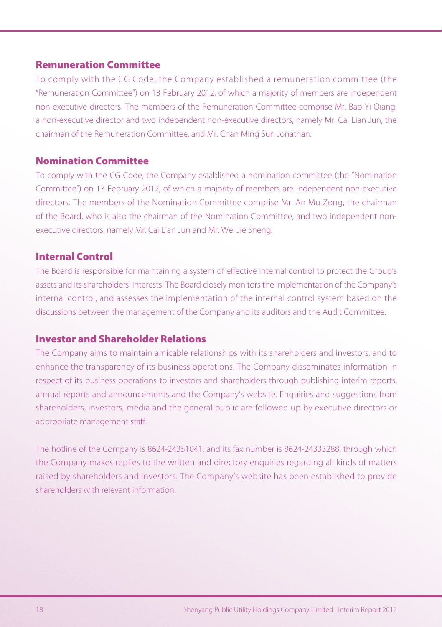# **Remuneration Committee**

To comply with the CG Code, the Company established a remuneration committee (the "Remuneration Committee") on 13 February 2012, of which a majority of members are independent non-executive directors. The members of the Remuneration Committee comprise Mr. Bao Yi Qiang, a non-executive director and two independent non-executive directors, namely Mr. Cai Lian Jun, the chairman of the Remuneration Committee, and Mr. Chan Ming Sun Jonathan.

# **Nomination Committee**

To comply with the CG Code, the Company established a nomination committee (the "Nomination Committee") on 13 February 2012, of which a majority of members are independent non-executive directors. The members of the Nomination Committee comprise Mr. An Mu Zong, the chairman of the Board, who is also the chairman of the Nomination Committee, and two independent nonexecutive directors, namely Mr. Cai Lian Jun and Mr. Wei Jie Sheng.

# **Internal Control**

The Board is responsible for maintaining a system of effective internal control to protect the Group's assets and its shareholders' interests. The Board closely monitors the implementation of the Company's internal control, and assesses the implementation of the internal control system based on the discussions between the management of the Company and its auditors and the Audit Committee.

# **Investor and Shareholder Relations**

The Company aims to maintain amicable relationships with its shareholders and investors, and to enhance the transparency of its business operations. The Company disseminates information in respect of its business operations to investors and shareholders through publishing interim reports, annual reports and announcements and the Company's website. Enquiries and suggestions from shareholders, investors, media and the general public are followed up by executive directors or appropriate management staff.

The hotline of the Company is 8624-24351041, and its fax number is 8624-24333288, through which the Company makes replies to the written and directory enquiries regarding all kinds of matters raised by shareholders and investors. The Company's website has been established to provide shareholders with relevant information.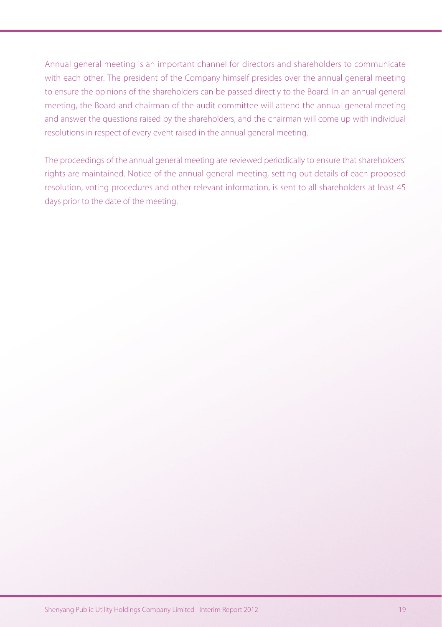Annual general meeting is an important channel for directors and shareholders to communicate with each other. The president of the Company himself presides over the annual general meeting to ensure the opinions of the shareholders can be passed directly to the Board. In an annual general meeting, the Board and chairman of the audit committee will attend the annual general meeting and answer the questions raised by the shareholders, and the chairman will come up with individual resolutions in respect of every event raised in the annual general meeting.

The proceedings of the annual general meeting are reviewed periodically to ensure that shareholders' rights are maintained. Notice of the annual general meeting, setting out details of each proposed resolution, voting procedures and other relevant information, is sent to all shareholders at least 45 days prior to the date of the meeting.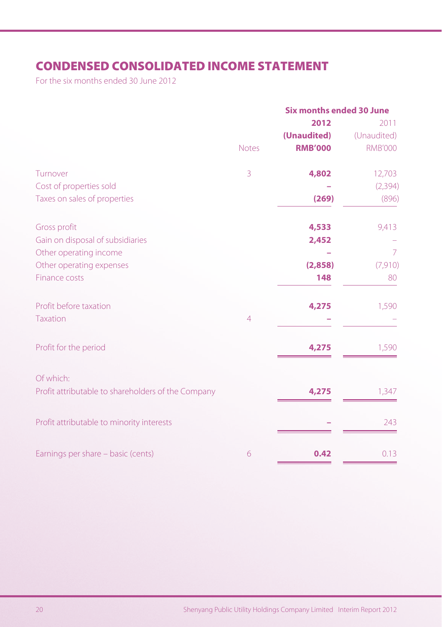# **CONDENSED CONSOLIDATED INCOME STATEMENT**

For the six months ended 30 June 2012

|                                                    | <b>Six months ended 30 June</b><br>2012 |                               | 2011                          |
|----------------------------------------------------|-----------------------------------------|-------------------------------|-------------------------------|
|                                                    | <b>Notes</b>                            | (Unaudited)<br><b>RMB'000</b> | (Unaudited)<br><b>RMB'000</b> |
| Turnover                                           | 3                                       | 4,802                         | 12,703                        |
| Cost of properties sold                            |                                         |                               | (2, 394)                      |
| Taxes on sales of properties                       |                                         | (269)                         | (896)                         |
| Gross profit                                       |                                         | 4,533                         | 9,413                         |
| Gain on disposal of subsidiaries                   |                                         | 2,452                         |                               |
| Other operating income                             |                                         |                               | 7                             |
| Other operating expenses                           |                                         | (2,858)                       | (7, 910)                      |
| <b>Finance costs</b>                               |                                         | 148                           | 80                            |
| Profit before taxation                             |                                         | 4,275                         | 1,590                         |
| <b>Taxation</b>                                    | $\overline{4}$                          |                               |                               |
| Profit for the period                              |                                         | 4,275                         | 1,590                         |
| Of which:                                          |                                         |                               |                               |
| Profit attributable to shareholders of the Company |                                         | 4,275                         | 1,347                         |
| Profit attributable to minority interests          |                                         |                               | 243                           |
| Earnings per share - basic (cents)                 | 6                                       | 0.42                          | 0.13                          |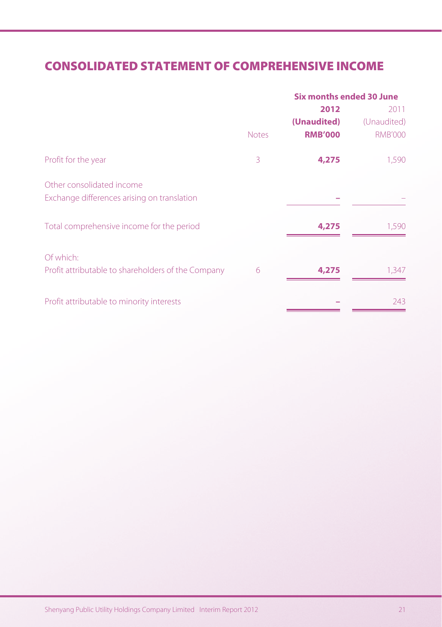# **CONSOLIDATED STATEMENT OF COMPREHENSIVE INCOME**

|                                                    | <b>Six months ended 30 June</b> |                |                |
|----------------------------------------------------|---------------------------------|----------------|----------------|
|                                                    |                                 | 2012           | 2011           |
|                                                    |                                 | (Unaudited)    | (Unaudited)    |
|                                                    | <b>Notes</b>                    | <b>RMB'000</b> | <b>RMB'000</b> |
| Profit for the year                                | 3                               | 4,275          | 1,590          |
| Other consolidated income                          |                                 |                |                |
| Exchange differences arising on translation        |                                 |                |                |
| Total comprehensive income for the period          |                                 | 4,275          | 1,590          |
| Of which:                                          |                                 |                |                |
| Profit attributable to shareholders of the Company | 6                               | 4,275          | 1.347          |
| Profit attributable to minority interests          |                                 |                | 243            |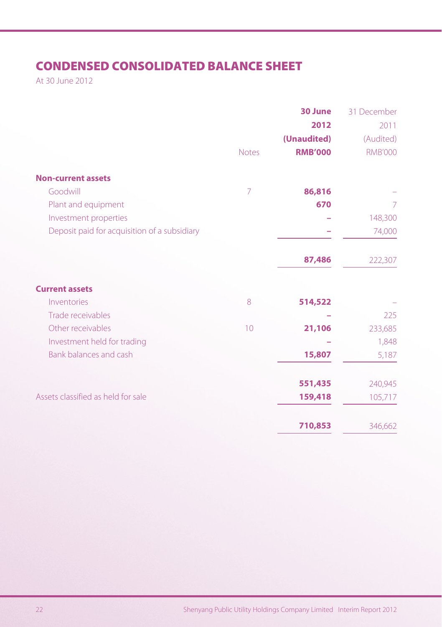# **CONDENSED CONSOLIDATED BALANCE SHEET**

At 30 June 2012

|                                              |                | 30 June        | 31 December    |
|----------------------------------------------|----------------|----------------|----------------|
|                                              |                | 2012           | 2011           |
|                                              |                | (Unaudited)    | (Audited)      |
|                                              | <b>Notes</b>   | <b>RMB'000</b> | <b>RMB'000</b> |
| <b>Non-current assets</b>                    |                |                |                |
| Goodwill                                     | $\overline{7}$ | 86,816         |                |
| Plant and equipment                          |                | 670            | 7              |
| Investment properties                        |                |                | 148,300        |
| Deposit paid for acquisition of a subsidiary |                |                | 74,000         |
|                                              |                | 87,486         | 222,307        |
| <b>Current assets</b>                        |                |                |                |
| Inventories                                  | 8              | 514,522        |                |
| Trade receivables                            |                |                | 225            |
| Other receivables                            | 10             | 21,106         | 233,685        |
| Investment held for trading                  |                |                | 1,848          |
| Bank balances and cash                       |                | 15,807         | 5,187          |
|                                              |                | 551,435        | 240,945        |
| Assets classified as held for sale           |                | 159,418        | 105,717        |
|                                              |                | 710,853        | 346,662        |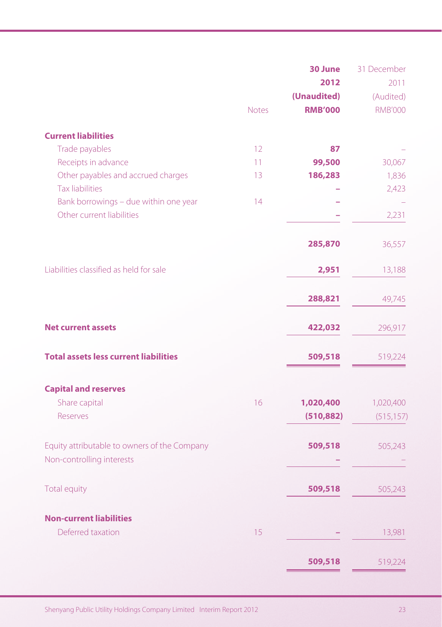|                                              |              | 30 June<br>2012 | 31 December<br>2011 |
|----------------------------------------------|--------------|-----------------|---------------------|
|                                              |              | (Unaudited)     | (Audited)           |
|                                              | <b>Notes</b> | <b>RMB'000</b>  | <b>RMB'000</b>      |
| <b>Current liabilities</b>                   |              |                 |                     |
| Trade payables                               | 12           | 87              |                     |
| Receipts in advance                          | 11           | 99,500          | 30,067              |
| Other payables and accrued charges           | 13           | 186,283         | 1,836               |
| <b>Tax liabilities</b>                       |              |                 | 2,423               |
| Bank borrowings - due within one year        | 14           |                 |                     |
| Other current liabilities                    |              |                 | 2,231               |
|                                              |              | 285,870         | 36,557              |
| Liabilities classified as held for sale      |              | 2,951           | 13,188              |
|                                              |              | 288,821         | 49,745              |
| <b>Net current assets</b>                    |              | 422,032         | 296,917             |
| <b>Total assets less current liabilities</b> |              | 509,518         | 519,224             |
| <b>Capital and reserves</b>                  |              |                 |                     |
| Share capital                                | 16           | 1,020,400       | 1,020,400           |
| <b>Reserves</b>                              |              | (510, 882)      | (515, 157)          |
| Equity attributable to owners of the Company |              | 509,518         | 505,243             |
| Non-controlling interests                    |              |                 |                     |
| Total equity                                 |              | 509,518         | 505,243             |
| <b>Non-current liabilities</b>               |              |                 |                     |
| Deferred taxation                            | 15           |                 | 13,981              |
|                                              |              | 509,518         | 519,224             |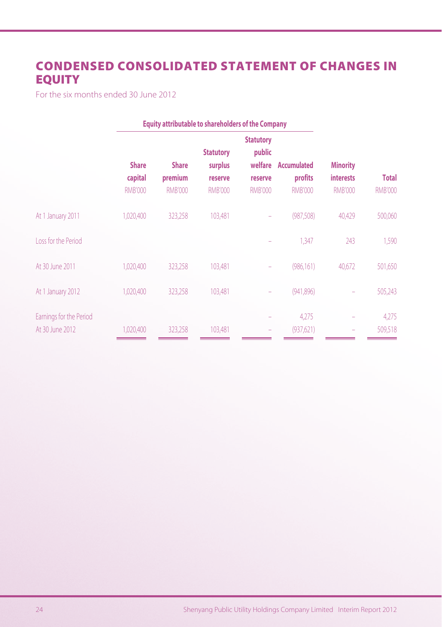# **CONDENSED CONSOLIDATED STATEMENT OF CHANGES IN EQUITY**

For the six months ended 30 June 2012

|                |                |                | <b>Statutory</b>            |                   |                                                                                 |                 |
|----------------|----------------|----------------|-----------------------------|-------------------|---------------------------------------------------------------------------------|-----------------|
|                |                |                |                             |                   |                                                                                 |                 |
|                |                |                |                             |                   |                                                                                 |                 |
| capital        | premium        | reserve        | reserve                     | profits           | <b>interests</b>                                                                | <b>Total</b>    |
| <b>RMB'000</b> | <b>RMB'000</b> | <b>RMB'000</b> | <b>RMB'000</b>              | <b>RMB'000</b>    | <b>RMB'000</b>                                                                  | <b>RMB'000</b>  |
| 1,020,400      | 323,258        | 103,481        |                             | (987, 508)        | 40,429                                                                          | 500,060         |
|                |                |                |                             | 1,347             | 243                                                                             | 1,590           |
| 1,020,400      | 323,258        | 103,481        |                             | (986, 161)        | 40,672                                                                          | 501,650         |
| 1,020,400      | 323,258        | 103.481        |                             | (941, 896)        |                                                                                 | 505,243         |
|                |                |                |                             | 4,275             |                                                                                 | 4,275           |
| 1,020,400      | 323,258        | 103,481        |                             | (937, 621)        |                                                                                 | 509,518         |
|                | <b>Share</b>   | <b>Share</b>   | <b>Statutory</b><br>surplus | public<br>welfare | <b>Equity attributable to shareholders of the Company</b><br><b>Accumulated</b> | <b>Minority</b> |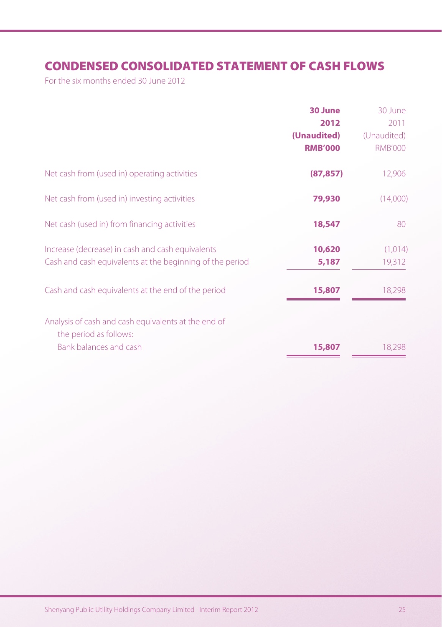# **CONDENSED CONSOLIDATED STATEMENT OF CASH FLOWS**

For the six months ended 30 June 2012

|                                                                               | 30 June        | 30 June        |
|-------------------------------------------------------------------------------|----------------|----------------|
|                                                                               | 2012           | 2011           |
|                                                                               | (Unaudited)    | (Unaudited)    |
|                                                                               | <b>RMB'000</b> | <b>RMB'000</b> |
| Net cash from (used in) operating activities                                  | (87, 857)      | 12,906         |
| Net cash from (used in) investing activities                                  | 79,930         | (14,000)       |
| Net cash (used in) from financing activities                                  | 18,547         | 80             |
| Increase (decrease) in cash and cash equivalents                              | 10,620         | (1,014)        |
| Cash and cash equivalents at the beginning of the period                      | 5,187          | 19,312         |
| Cash and cash equivalents at the end of the period                            | 15,807         | 18,298         |
| Analysis of cash and cash equivalents at the end of<br>the period as follows: |                |                |
| Bank balances and cash                                                        | 15,807         | 18,298         |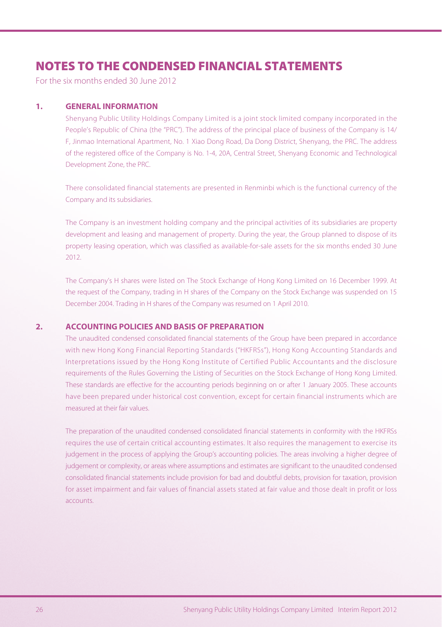# **NOTES TO THE CONDENSED FINANCIAL STATEMENTS**

For the six months ended 30 June 2012

#### **1. GENERAL INFORMATION**

Shenyang Public Utility Holdings Company Limited is a joint stock limited company incorporated in the People's Republic of China (the "PRC"). The address of the principal place of business of the Company is 14/ F, Jinmao International Apartment, No. 1 Xiao Dong Road, Da Dong District, Shenyang, the PRC. The address of the registered office of the Company is No. 1-4, 20A, Central Street, Shenyang Economic and Technological Development Zone, the PRC.

There consolidated financial statements are presented in Renminbi which is the functional currency of the Company and its subsidiaries.

The Company is an investment holding company and the principal activities of its subsidiaries are property development and leasing and management of property. During the year, the Group planned to dispose of its property leasing operation, which was classified as available-for-sale assets for the six months ended 30 June 2012.

The Company's H shares were listed on The Stock Exchange of Hong Kong Limited on 16 December 1999. At the request of the Company, trading in H shares of the Company on the Stock Exchange was suspended on 15 December 2004. Trading in H shares of the Company was resumed on 1 April 2010.

#### **2. ACCOUNTING POLICIES AND BASIS OF PREPARATION**

The unaudited condensed consolidated financial statements of the Group have been prepared in accordance with new Hong Kong Financial Reporting Standards ("HKFRSs"), Hong Kong Accounting Standards and Interpretations issued by the Hong Kong Institute of Certified Public Accountants and the disclosure requirements of the Rules Governing the Listing of Securities on the Stock Exchange of Hong Kong Limited. These standards are effective for the accounting periods beginning on or after 1 January 2005. These accounts have been prepared under historical cost convention, except for certain financial instruments which are measured at their fair values.

The preparation of the unaudited condensed consolidated financial statements in conformity with the HKFRSs requires the use of certain critical accounting estimates. It also requires the management to exercise its judgement in the process of applying the Group's accounting policies. The areas involving a higher degree of judgement or complexity, or areas where assumptions and estimates are significant to the unaudited condensed consolidated financial statements include provision for bad and doubtful debts, provision for taxation, provision for asset impairment and fair values of financial assets stated at fair value and those dealt in profit or loss accounts.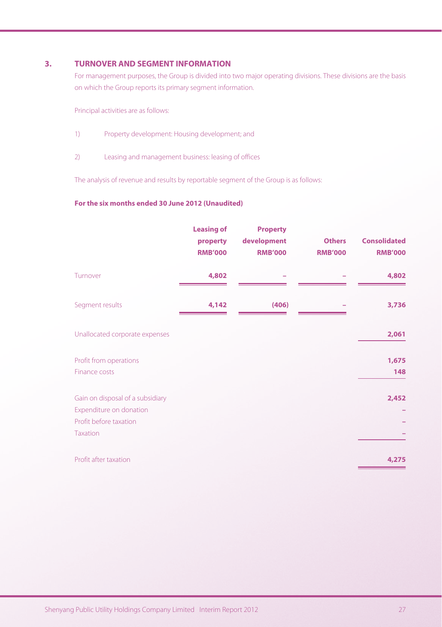#### **3. TURNOVER AND SEGMENT INFORMATION**

For management purposes, the Group is divided into two major operating divisions. These divisions are the basis on which the Group reports its primary segment information.

Principal activities are as follows:

- 1) Property development: Housing development; and
- 2) Leasing and management business: leasing of offices

The analysis of revenue and results by reportable segment of the Group is as follows:

#### **For the six months ended 30 June 2012 (Unaudited)**

|                                                                                                          | <b>Leasing of</b><br>property<br><b>RMB'000</b> | <b>Property</b><br>development<br><b>RMB'000</b> | <b>Others</b><br><b>RMB'000</b> | <b>Consolidated</b><br><b>RMB'000</b> |
|----------------------------------------------------------------------------------------------------------|-------------------------------------------------|--------------------------------------------------|---------------------------------|---------------------------------------|
| Turnover                                                                                                 | 4,802                                           |                                                  |                                 | 4,802                                 |
| Segment results                                                                                          | 4,142                                           | (406)                                            |                                 | 3,736                                 |
| Unallocated corporate expenses                                                                           |                                                 |                                                  |                                 | 2,061                                 |
| Profit from operations<br>Finance costs                                                                  |                                                 |                                                  |                                 | 1,675<br>148                          |
| Gain on disposal of a subsidiary<br>Expenditure on donation<br>Profit before taxation<br><b>Taxation</b> |                                                 |                                                  |                                 | 2,452                                 |
| Profit after taxation                                                                                    |                                                 |                                                  |                                 | 4,275                                 |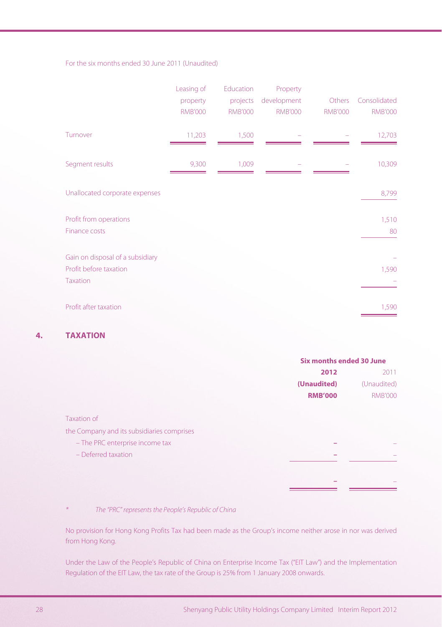#### For the six months ended 30 June 2011 (Unaudited)

|                                                                               | Leasing of<br>property<br><b>RMB'000</b> | Education<br>projects<br><b>RMB'000</b> | Property<br>development<br><b>RMB'000</b> | Others<br><b>RMB'000</b> | Consolidated<br><b>RMB'000</b> |
|-------------------------------------------------------------------------------|------------------------------------------|-----------------------------------------|-------------------------------------------|--------------------------|--------------------------------|
| Turnover                                                                      | 11,203                                   | 1,500                                   |                                           |                          | 12,703                         |
| Segment results                                                               | 9,300                                    | 1,009                                   |                                           |                          | 10,309                         |
| Unallocated corporate expenses                                                |                                          |                                         |                                           |                          | 8,799                          |
| Profit from operations<br>Finance costs                                       |                                          |                                         |                                           |                          | 1,510<br>80                    |
| Gain on disposal of a subsidiary<br>Profit before taxation<br><b>Taxation</b> |                                          |                                         |                                           |                          | 1,590                          |
| Profit after taxation                                                         |                                          |                                         |                                           |                          | 1,590                          |

## **4. TAXATION**

|                                            | Six months ended 30 June |                |  |
|--------------------------------------------|--------------------------|----------------|--|
|                                            | 2012                     | 2011           |  |
|                                            | (Unaudited)              | (Unaudited)    |  |
|                                            | <b>RMB'000</b>           | <b>RMB'000</b> |  |
| Taxation of                                |                          |                |  |
| the Company and its subsidiaries comprises |                          |                |  |
| - The PRC enterprise income tax            |                          |                |  |
| $-$ Deferred taxation                      |                          |                |  |
|                                            |                          |                |  |
|                                            |                          |                |  |
|                                            |                          |                |  |

\* The "PRC" represents the People's Republic of China

No provision for Hong Kong Profits Tax had been made as the Group's income neither arose in nor was derived from Hong Kong.

Under the Law of the People's Republic of China on Enterprise Income Tax ("EIT Law") and the Implementation Regulation of the EIT Law, the tax rate of the Group is 25% from 1 January 2008 onwards.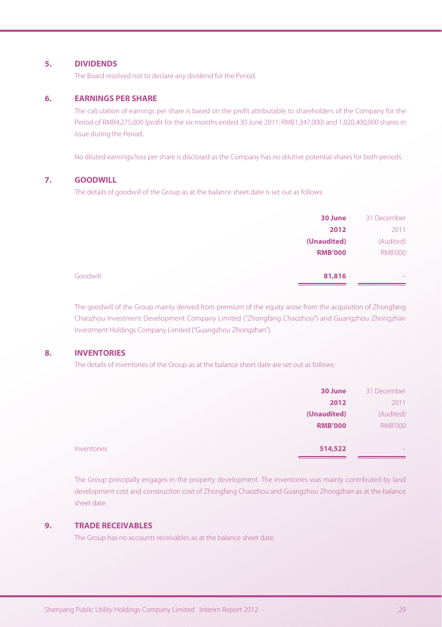#### **5. DIVIDENDS**

The Board resolved not to declare any dividend for the Period.

#### **6. EARNINGS PER SHARE**

The calculation of earnings per share is based on the profit attributable to shareholders of the Company for the Period of RMB4,275,000 (profit for the six months ended 30 June 2011: RMB1,347,000) and 1,020,400,000 shares in issue during the Period.

No diluted earnings/loss per share is disclosed as the Company has no dilutive potential shares for both periods.

#### **7. GOODWILL**

The details of goodwill of the Group as at the balance sheet date is set out as follows:

|          | 30 June        | 31 December              |
|----------|----------------|--------------------------|
|          | 2012           | 2011                     |
|          | (Unaudited)    | (Audited)                |
|          | <b>RMB'000</b> | <b>RMB'000</b>           |
| Goodwill | 81,816         | $\overline{\phantom{a}}$ |

The goodwill of the Group mainly derived from premium of the equity arose from the acquisition of Zhongfang Chaozhou Investment Development Company Limited ("Zhongfang Chaozhou") and Guangzhou Zhongzhan Investment Holdings Company Limited ("Guangzhou Zhongzhan").

#### **8. INVENTORIES**

The details of inventories of the Group as at the balance sheet date are set out as follows:

|                    | 30 June        | 31 December    |
|--------------------|----------------|----------------|
|                    | 2012           | 2011           |
|                    | (Unaudited)    | (Audited)      |
|                    | <b>RMB'000</b> | <b>RMB'000</b> |
| <b>Inventories</b> | 514,522        | $\sim$         |

The Group principally engages in the property development. The inventories was mainly contributed by land development cost and construction cost of Zhongfang Chaozhou and Guangzhou Zhongzhan as at the balance sheet date.

#### **9. TRADE RECEIVABLES**

The Group has no accounts receivables as at the balance sheet date.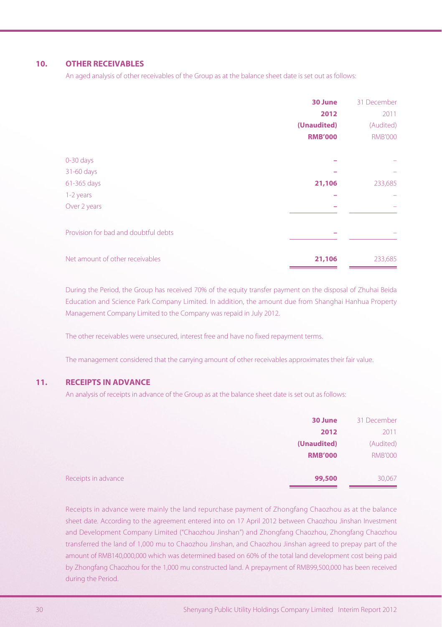#### **10. OTHER RECEIVABLES**

An aged analysis of other receivables of the Group as at the balance sheet date is set out as follows:

|                                      | 30 June        | 31 December    |
|--------------------------------------|----------------|----------------|
|                                      | 2012           | 2011           |
|                                      | (Unaudited)    | (Audited)      |
|                                      | <b>RMB'000</b> | <b>RMB'000</b> |
| 0-30 days                            |                |                |
| 31-60 days                           |                |                |
| 61-365 days                          | 21,106         | 233,685        |
| 1-2 years                            |                |                |
| Over 2 years                         |                |                |
| Provision for bad and doubtful debts |                |                |
| Net amount of other receivables      | 21,106         | 233,685        |

During the Period, the Group has received 70% of the equity transfer payment on the disposal of Zhuhai Beida Education and Science Park Company Limited. In addition, the amount due from Shanghai Hanhua Property Management Company Limited to the Company was repaid in July 2012.

The other receivables were unsecured, interest free and have no fixed repayment terms.

The management considered that the carrying amount of other receivables approximates their fair value.

#### **11. RECEIPTS IN ADVANCE**

An analysis of receipts in advance of the Group as at the balance sheet date is set out as follows:

|                     | 30 June        | 31 December    |
|---------------------|----------------|----------------|
|                     | 2012           | 2011           |
|                     | (Unaudited)    | (Audited)      |
|                     | <b>RMB'000</b> | <b>RMB'000</b> |
| Receipts in advance | 99,500         | 30,067         |

Receipts in advance were mainly the land repurchase payment of Zhongfang Chaozhou as at the balance sheet date. According to the agreement entered into on 17 April 2012 between Chaozhou Jinshan Investment and Development Company Limited ("Chaozhou Jinshan") and Zhongfang Chaozhou, Zhongfang Chaozhou transferred the land of 1,000 mu to Chaozhou Jinshan, and Chaozhou Jinshan agreed to prepay part of the amount of RMB140,000,000 which was determined based on 60% of the total land development cost being paid by Zhongfang Chaozhou for the 1,000 mu constructed land. A prepayment of RMB99,500,000 has been received during the Period.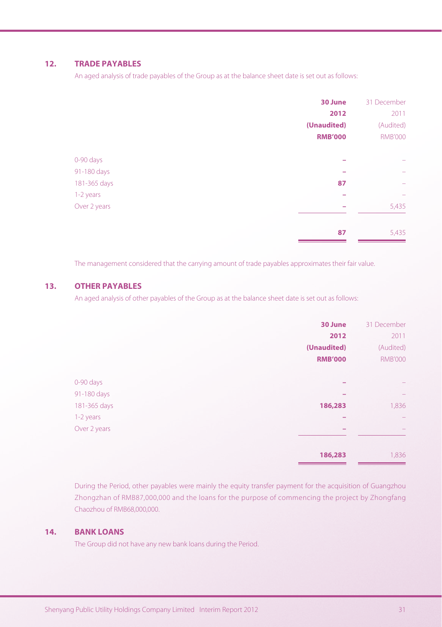#### **12. TRADE PAYABLES**

An aged analysis of trade payables of the Group as at the balance sheet date is set out as follows:

|              | 30 June        | 31 December    |
|--------------|----------------|----------------|
|              | 2012           | 2011           |
|              | (Unaudited)    | (Audited)      |
|              | <b>RMB'000</b> | <b>RMB'000</b> |
| 0-90 days    |                | -              |
| 91-180 days  |                | ÷              |
| 181-365 days | 87             | -              |
| 1-2 years    |                | -              |
| Over 2 years |                | 5,435          |
|              | 87             | 5,435          |

The management considered that the carrying amount of trade payables approximates their fair value.

#### **13. OTHER PAYABLES**

An aged analysis of other payables of the Group as at the balance sheet date is set out as follows:

|              | 30 June        | 31 December              |
|--------------|----------------|--------------------------|
|              | 2012           | 2011                     |
|              | (Unaudited)    | (Audited)                |
|              | <b>RMB'000</b> | <b>RMB'000</b>           |
|              |                |                          |
| 0-90 days    |                | -                        |
| 91-180 days  |                | -                        |
| 181-365 days | 186,283        | 1,836                    |
| 1-2 years    |                | $\overline{\phantom{0}}$ |
| Over 2 years |                | $\overline{\phantom{0}}$ |
|              |                |                          |
|              | 186,283        | 1,836                    |

During the Period, other payables were mainly the equity transfer payment for the acquisition of Guangzhou Zhongzhan of RMB87,000,000 and the loans for the purpose of commencing the project by Zhongfang Chaozhou of RMB68,000,000.

#### **14. BANK LOANS**

The Group did not have any new bank loans during the Period.